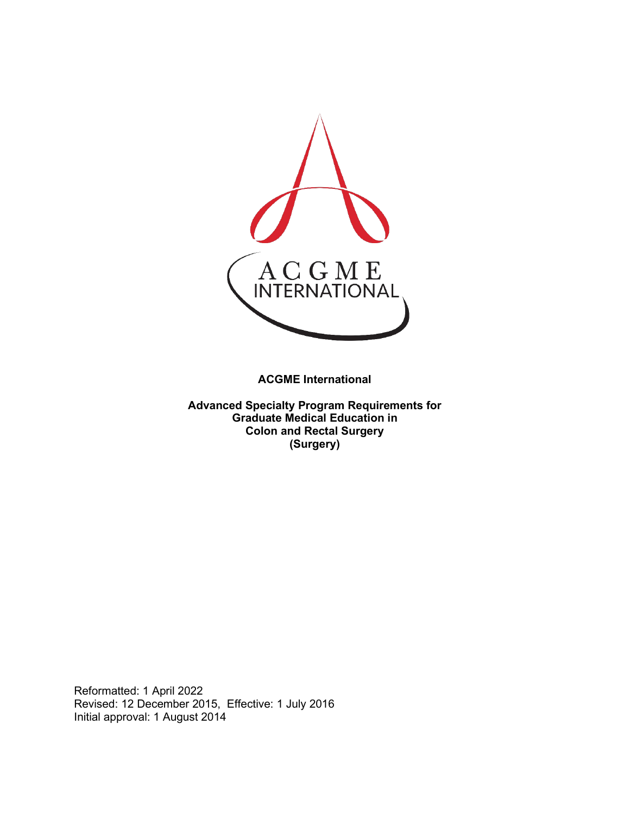

**ACGME International** 

**Advanced Specialty Program Requirements for Graduate Medical Education in Colon and Rectal Surgery (Surgery)**

Reformatted: 1 April 2022 Revised: 12 December 2015, Effective: 1 July 2016 Initial approval: 1 August 2014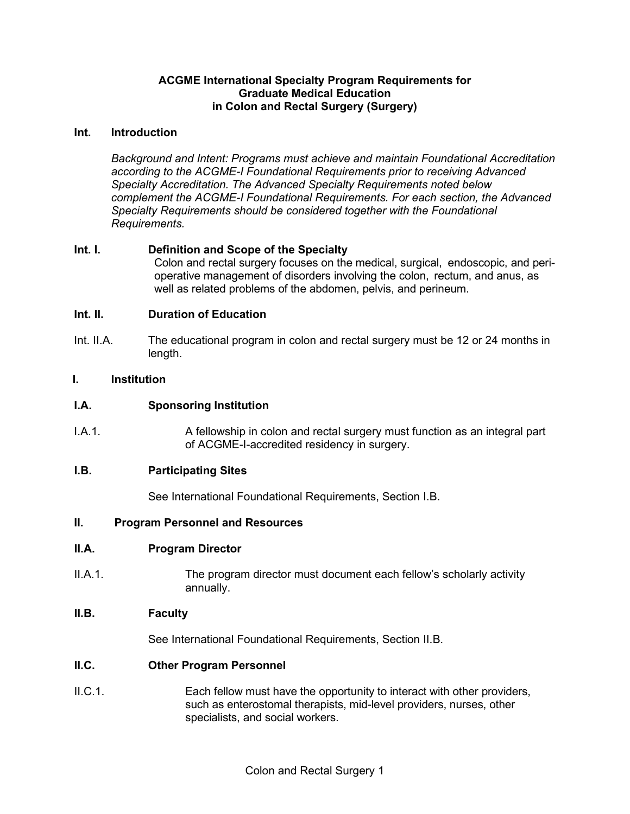## **ACGME International Specialty Program Requirements for Graduate Medical Education in Colon and Rectal Surgery (Surgery)**

#### **Int. Introduction**

*Background and Intent: Programs must achieve and maintain Foundational Accreditation according to the ACGME-I Foundational Requirements prior to receiving Advanced Specialty Accreditation. The Advanced Specialty Requirements noted below complement the ACGME-I Foundational Requirements. For each section, the Advanced Specialty Requirements should be considered together with the Foundational Requirements.*

## **Int. I. Definition and Scope of the Specialty**

Colon and rectal surgery focuses on the medical, surgical, endoscopic, and perioperative management of disorders involving the colon, rectum, and anus, as well as related problems of the abdomen, pelvis, and perineum.

## **Int. II. Duration of Education**

Int. II.A. The educational program in colon and rectal surgery must be 12 or 24 months in length.

## **I. Institution**

## **I.A. Sponsoring Institution**

I.A.1. A fellowship in colon and rectal surgery must function as an integral part of ACGME-I-accredited residency in surgery.

#### **I.B. Participating Sites**

See International Foundational Requirements, Section I.B.

#### **II. Program Personnel and Resources**

#### **II.A. Program Director**

II.A.1. The program director must document each fellow's scholarly activity annually.

#### **II.B. Faculty**

See International Foundational Requirements, Section II.B.

#### **II.C. Other Program Personnel**

II.C.1. Each fellow must have the opportunity to interact with other providers, such as enterostomal therapists, mid-level providers, nurses, other specialists, and social workers.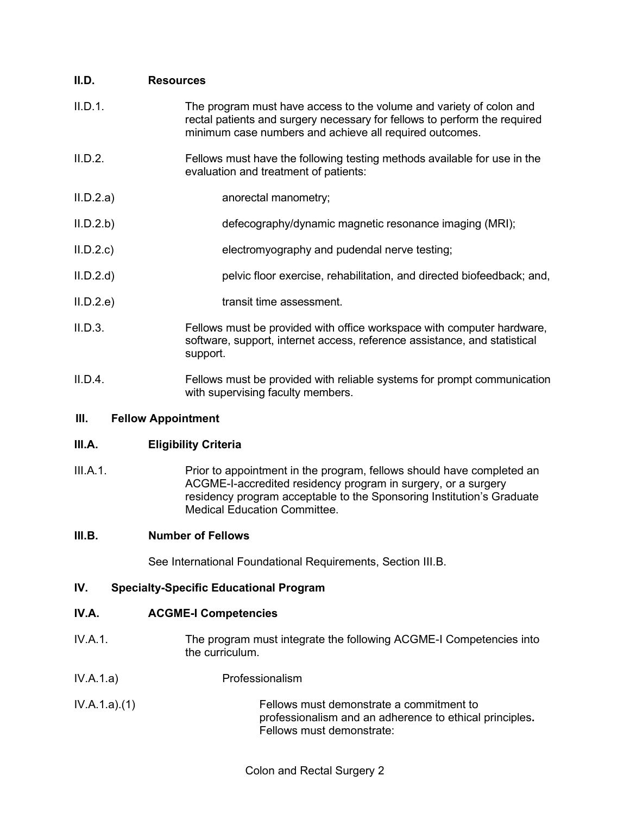## **II.D. Resources**

| II.D.1. | The program must have access to the volume and variety of colon and<br>rectal patients and surgery necessary for fellows to perform the required<br>minimum case numbers and achieve all required outcomes. |
|---------|-------------------------------------------------------------------------------------------------------------------------------------------------------------------------------------------------------------|
| II.D.2. | Fellows must have the following testing methods available for use in the<br>evaluation and treatment of patients:                                                                                           |

- II.D.2.a) anorectal manometry;
- II.D.2.b) defecography/dynamic magnetic resonance imaging (MRI);
- II.D.2.c) electromyography and pudendal nerve testing;
- II.D.2.d) pelvic floor exercise, rehabilitation, and directed biofeedback; and,
- II.D.2.e) transit time assessment.
- II.D.3. Fellows must be provided with office workspace with computer hardware, software, support, internet access, reference assistance, and statistical support.
- II.D.4. Fellows must be provided with reliable systems for prompt communication with supervising faculty members.

## **III. Fellow Appointment**

## **III.A. Eligibility Criteria**

III.A.1. Prior to appointment in the program, fellows should have completed an ACGME-I-accredited residency program in surgery, or a surgery residency program acceptable to the Sponsoring Institution's Graduate Medical Education Committee.

## **III.B. Number of Fellows**

See International Foundational Requirements, Section III.B.

## **IV. Specialty-Specific Educational Program**

## **IV.A. ACGME-I Competencies**

- IV.A.1. The program must integrate the following ACGME-I Competencies into the curriculum.
- IV.A.1.a) Professionalism
- IV.A.1.a).(1) Fellows must demonstrate a commitment to professionalism and an adherence to ethical principles**.** Fellows must demonstrate: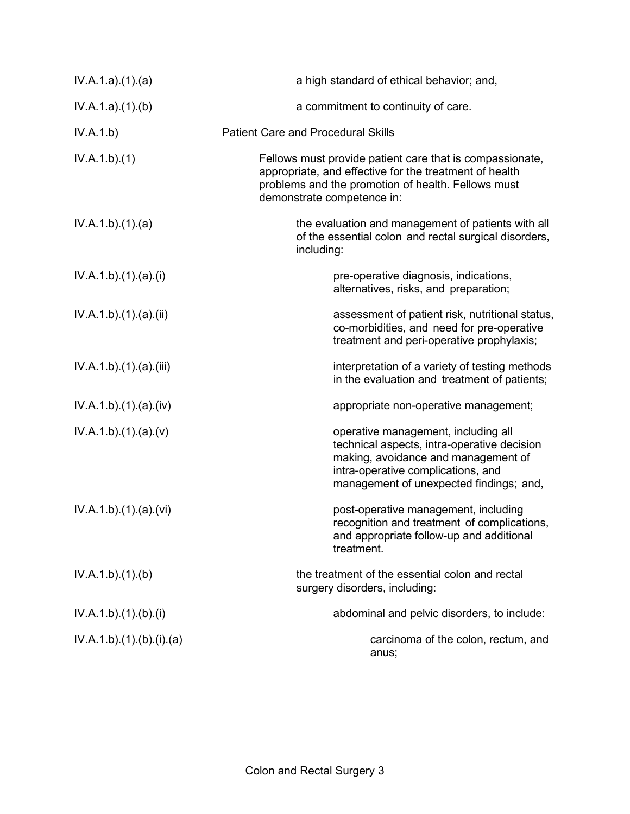| IV.A.1.a)(1)(a)        | a high standard of ethical behavior; and,                                                                                                                                                                  |
|------------------------|------------------------------------------------------------------------------------------------------------------------------------------------------------------------------------------------------------|
| IV.A.1.a)(1)(b)        | a commitment to continuity of care.                                                                                                                                                                        |
| IV.A.1.b)              | <b>Patient Care and Procedural Skills</b>                                                                                                                                                                  |
| IV.A.1.b)(1)           | Fellows must provide patient care that is compassionate,<br>appropriate, and effective for the treatment of health<br>problems and the promotion of health. Fellows must<br>demonstrate competence in:     |
| IV.A.1.b)(1)(a)        | the evaluation and management of patients with all<br>of the essential colon and rectal surgical disorders,<br>including:                                                                                  |
| IV.A.1.b)(1).(a)(i)    | pre-operative diagnosis, indications,<br>alternatives, risks, and preparation;                                                                                                                             |
| IV.A.1.b)(1)(a)(ii)    | assessment of patient risk, nutritional status,<br>co-morbidities, and need for pre-operative<br>treatment and peri-operative prophylaxis;                                                                 |
| IV.A.1.b)(1)(a)(iii)   | interpretation of a variety of testing methods<br>in the evaluation and treatment of patients;                                                                                                             |
| IV.A.1.b) (1) (a) (iv) | appropriate non-operative management;                                                                                                                                                                      |
| IV.A.1.b)(1)(a)(v)     | operative management, including all<br>technical aspects, intra-operative decision<br>making, avoidance and management of<br>intra-operative complications, and<br>management of unexpected findings; and, |
| IV.A.1.b)(1)(a)(vi)    | post-operative management, including<br>recognition and treatment of complications,<br>and appropriate follow-up and additional<br>treatment.                                                              |
| IV.A.1.b)(1)(b)        | the treatment of the essential colon and rectal<br>surgery disorders, including:                                                                                                                           |
| IV.A.1.b)(1)(b)(i)     | abdominal and pelvic disorders, to include:                                                                                                                                                                |
| IV.A.1.b)(1)(b)(i)(a)  | carcinoma of the colon, rectum, and<br>anus;                                                                                                                                                               |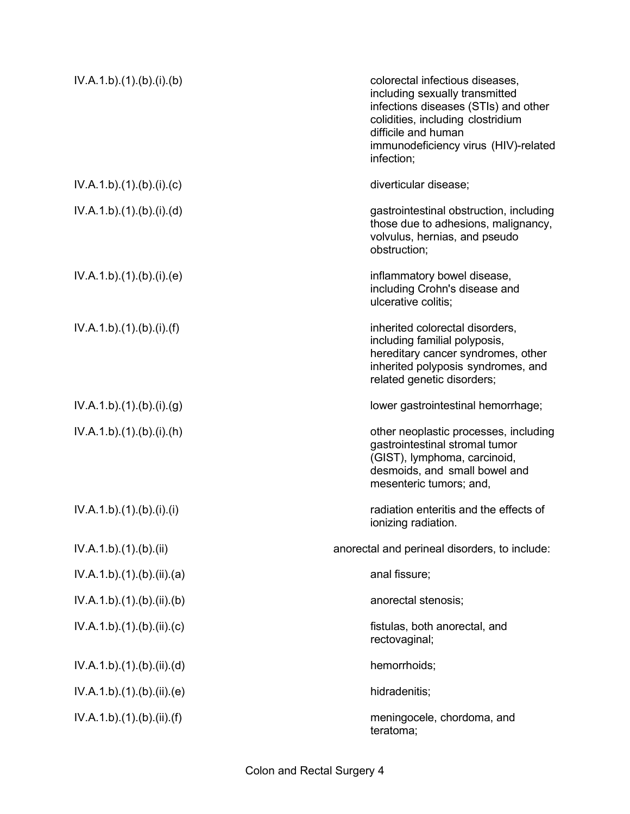| IV.A.1.b)(1)(b)(i)(b)     | colorectal infectious diseases,<br>including sexually transmitted<br>infections diseases (STIs) and other<br>colidities, including clostridium<br>difficile and human<br>immunodeficiency virus (HIV)-related<br>infection; |
|---------------------------|-----------------------------------------------------------------------------------------------------------------------------------------------------------------------------------------------------------------------------|
| IV.A.1.b)(1)(b)(i)(c)     | diverticular disease;                                                                                                                                                                                                       |
| IV.A.1.b)(1)(b)(i)(d)     | gastrointestinal obstruction, including<br>those due to adhesions, malignancy,<br>volvulus, hernias, and pseudo<br>obstruction;                                                                                             |
| IV.A.1.b)(1)(b)(i)(e)     | inflammatory bowel disease,<br>including Crohn's disease and<br>ulcerative colitis;                                                                                                                                         |
| IV.A.1.b)(1)(b)(i)(f)     | inherited colorectal disorders,<br>including familial polyposis,<br>hereditary cancer syndromes, other<br>inherited polyposis syndromes, and<br>related genetic disorders;                                                  |
| IV.A.1.b)(1)(b)(i)(g)     | lower gastrointestinal hemorrhage;                                                                                                                                                                                          |
| IV.A.1.b)(1)(b)(i)(h)     | other neoplastic processes, including<br>gastrointestinal stromal tumor<br>(GIST), lymphoma, carcinoid,<br>desmoids, and small bowel and<br>mesenteric tumors; and,                                                         |
| IV.A.1.b) (1) (b) (i) (i) | radiation enteritis and the effects of<br>ionizing radiation.                                                                                                                                                               |
| IV.A.1.b)(1)(b)(ii)       | anorectal and perineal disorders, to include:                                                                                                                                                                               |
| IV.A.1.b)(1)(b)(ii)(a)    | anal fissure;                                                                                                                                                                                                               |
| IV.A.1.b)(1)(b)(ii)(b)    | anorectal stenosis;                                                                                                                                                                                                         |
| IV.A.1.b)(1)(b)(ii)(c)    | fistulas, both anorectal, and<br>rectovaginal;                                                                                                                                                                              |
| IV.A.1.b)(1)(b)(ii)(d)    | hemorrhoids;                                                                                                                                                                                                                |
| IV.A.1.b)(1)(b)(ii)(e)    | hidradenitis;                                                                                                                                                                                                               |
| IV.A.1.b)(1)(b)(ii)(f)    | meningocele, chordoma, and<br>teratoma;                                                                                                                                                                                     |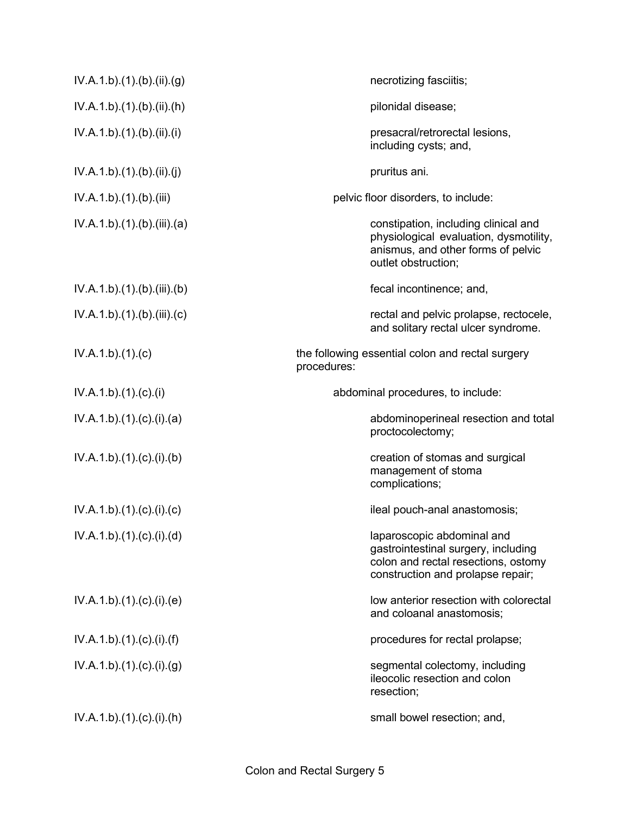| IV.A.1.b)(1)(b)(ii)(g)    | necrotizing fasciitis;                                                                                                                        |
|---------------------------|-----------------------------------------------------------------------------------------------------------------------------------------------|
| IV.A.1.b)(1)(b)(ii)(h)    | pilonidal disease;                                                                                                                            |
| IV.A.1.b)(1)(b)(ii)(i)    | presacral/retrorectal lesions,<br>including cysts; and,                                                                                       |
| IV.A.1.b)(1)(b)(ii)(j)    | pruritus ani.                                                                                                                                 |
| IV.A.1.b) (1) (b) (iii)   | pelvic floor disorders, to include:                                                                                                           |
| IV.A.1.b)(1)(b)(iii)(a)   | constipation, including clinical and<br>physiological evaluation, dysmotility,<br>anismus, and other forms of pelvic<br>outlet obstruction;   |
| IV.A.1.b)(1)(b)(iii)(b)   | fecal incontinence; and,                                                                                                                      |
| IV.A.1.b)(1)(b)(iii)(c)   | rectal and pelvic prolapse, rectocele,<br>and solitary rectal ulcer syndrome.                                                                 |
| IV.A.1.b)(1)(c)           | the following essential colon and rectal surgery<br>procedures:                                                                               |
| IV.A.1.b)(1)(c)(i)        | abdominal procedures, to include:                                                                                                             |
| IV.A.1.b)(1)(c)(i)(a)     | abdominoperineal resection and total<br>proctocolectomy;                                                                                      |
| IV.A.1.b)(1)(c)(i)(b)     | creation of stomas and surgical<br>management of stoma<br>complications;                                                                      |
| IV.A.1.b)(1)(c)(i)(c)     | ileal pouch-anal anastomosis;                                                                                                                 |
| IV.A.1.b)(1)(c)(i)(d)     | laparoscopic abdominal and<br>gastrointestinal surgery, including<br>colon and rectal resections, ostomy<br>construction and prolapse repair; |
| IV.A.1.b)(1)(c)(i)(e)     | low anterior resection with colorectal<br>and coloanal anastomosis;                                                                           |
| IV.A.1.b) (1) (c) (i) (f) | procedures for rectal prolapse;                                                                                                               |
| IV.A.1.b)(1)(c)(i)(g)     | segmental colectomy, including<br>ileocolic resection and colon<br>resection;                                                                 |
| IV.A.1.b)(1)(c)(i)(h)     | small bowel resection; and,                                                                                                                   |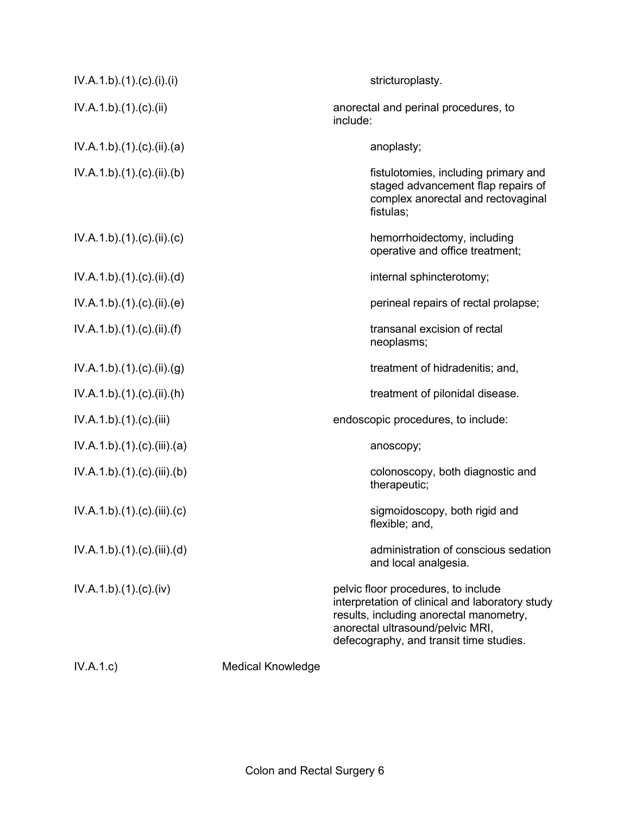| IV.A.1.b)(1)(c)(i)(i)   |                          | stricturoplasty.                                                                                                                                                                                                 |
|-------------------------|--------------------------|------------------------------------------------------------------------------------------------------------------------------------------------------------------------------------------------------------------|
| IV.A.1.b)(1)(c)(ii)     |                          | anorectal and perinal procedures, to<br>include:                                                                                                                                                                 |
| IV.A.1.b)(1)(c)(ii)(a)  |                          | anoplasty;                                                                                                                                                                                                       |
| IV.A.1.b)(1)(c)(ii)(b)  |                          | fistulotomies, including primary and<br>staged advancement flap repairs of<br>complex anorectal and rectovaginal<br>fistulas:                                                                                    |
| IV.A.1.b)(1)(c)(ii)(c)  |                          | hemorrhoidectomy, including<br>operative and office treatment;                                                                                                                                                   |
| IV.A.1.b)(1)(c)(ii)(d)  |                          | internal sphincterotomy;                                                                                                                                                                                         |
| IV.A.1.b)(1)(c)(ii)(e)  |                          | perineal repairs of rectal prolapse;                                                                                                                                                                             |
| IV.A.1.b)(1)(c)(ii)(f)  |                          | transanal excision of rectal<br>neoplasms;                                                                                                                                                                       |
| IV.A.1.b)(1)(c)(ii)(g)  |                          | treatment of hidradenitis; and,                                                                                                                                                                                  |
| IV.A.1.b)(1)(c)(ii)(h)  |                          | treatment of pilonidal disease.                                                                                                                                                                                  |
| IV.A.1.b)(1)(c)(iii)    |                          | endoscopic procedures, to include:                                                                                                                                                                               |
| IV.A.1.b)(1)(c)(iii)(a) |                          | anoscopy;                                                                                                                                                                                                        |
| IV.A.1.b)(1)(c)(iii)(b) |                          | colonoscopy, both diagnostic and<br>therapeutic;                                                                                                                                                                 |
| IV.A.1.b)(1)(c)(iii)(c) |                          | sigmoidoscopy, both rigid and<br>flexible; and,                                                                                                                                                                  |
| IV.A.1.b)(1)(c)(iii)(d) |                          | administration of conscious sedation<br>and local analgesia.                                                                                                                                                     |
| IV.A.1.b)(1)(c)(iv)     |                          | pelvic floor procedures, to include<br>interpretation of clinical and laboratory study<br>results, including anorectal manometry,<br>anorectal ultrasound/pelvic MRI,<br>defecography, and transit time studies. |
| IV.A.1.c)               | <b>Medical Knowledge</b> |                                                                                                                                                                                                                  |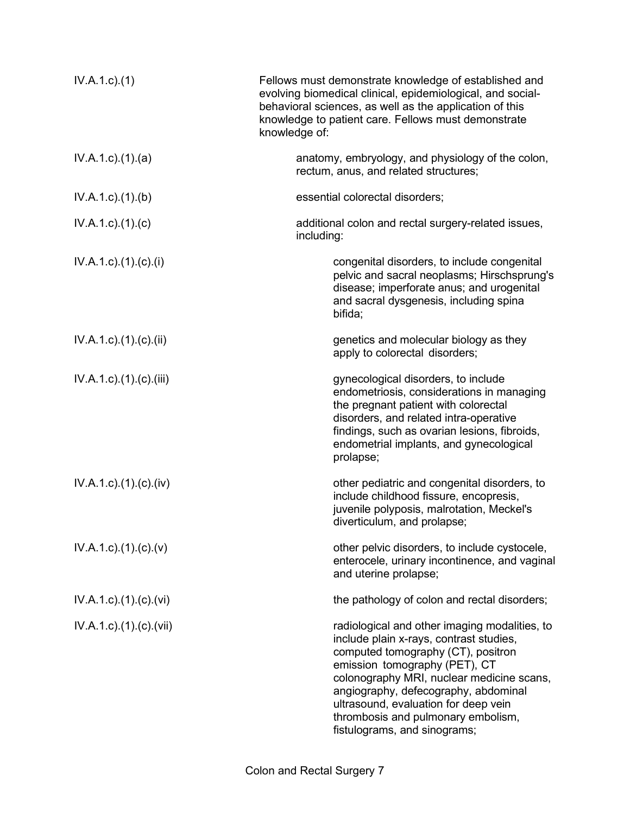| $IV.A.1.c.$ (1)                       | Fellows must demonstrate knowledge of established and<br>evolving biomedical clinical, epidemiological, and social-<br>behavioral sciences, as well as the application of this<br>knowledge to patient care. Fellows must demonstrate<br>knowledge of:                                                                                                             |
|---------------------------------------|--------------------------------------------------------------------------------------------------------------------------------------------------------------------------------------------------------------------------------------------------------------------------------------------------------------------------------------------------------------------|
| $IV.A.1.c$ . $(1).$ $(a)$             | anatomy, embryology, and physiology of the colon,<br>rectum, anus, and related structures;                                                                                                                                                                                                                                                                         |
| $IV.A.1.c$ . $(1).$ (b)               | essential colorectal disorders;                                                                                                                                                                                                                                                                                                                                    |
| $IV.A.1.c$ ). $(1)$ . $(c)$           | additional colon and rectal surgery-related issues,<br>including:                                                                                                                                                                                                                                                                                                  |
| $IV.A.1.c$ ). $(1). (c). (i)$         | congenital disorders, to include congenital<br>pelvic and sacral neoplasms; Hirschsprung's<br>disease; imperforate anus; and urogenital<br>and sacral dysgenesis, including spina<br>bifida;                                                                                                                                                                       |
| $IV.A.1.c$ ). $(1).$ (c). $(ii)$      | genetics and molecular biology as they<br>apply to colorectal disorders;                                                                                                                                                                                                                                                                                           |
| $IV.A.1.c$ . $(1).$ $(c)$ . $(iii)$   | gynecological disorders, to include<br>endometriosis, considerations in managing<br>the pregnant patient with colorectal<br>disorders, and related intra-operative<br>findings, such as ovarian lesions, fibroids,<br>endometrial implants, and gynecological<br>prolapse;                                                                                         |
| $IV.A.1.c$ . $(1).(c).(iv)$           | other pediatric and congenital disorders, to<br>include childhood fissure, encopresis,<br>juvenile polyposis, malrotation, Meckel's<br>diverticulum, and prolapse;                                                                                                                                                                                                 |
| $IV.A.1.c$ ). $(1). (c). (v)$         | other pelvic disorders, to include cystocele,<br>enterocele, urinary incontinence, and vaginal<br>and uterine prolapse;                                                                                                                                                                                                                                            |
| $IV.A.1.c$ . $(1).$ $(c)$ . $(vi)$    | the pathology of colon and rectal disorders;                                                                                                                                                                                                                                                                                                                       |
| $IV.A.1.c$ ). $(1)$ . $(c)$ . $(vii)$ | radiological and other imaging modalities, to<br>include plain x-rays, contrast studies,<br>computed tomography (CT), positron<br>emission tomography (PET), CT<br>colonography MRI, nuclear medicine scans,<br>angiography, defecography, abdominal<br>ultrasound, evaluation for deep vein<br>thrombosis and pulmonary embolism,<br>fistulograms, and sinograms; |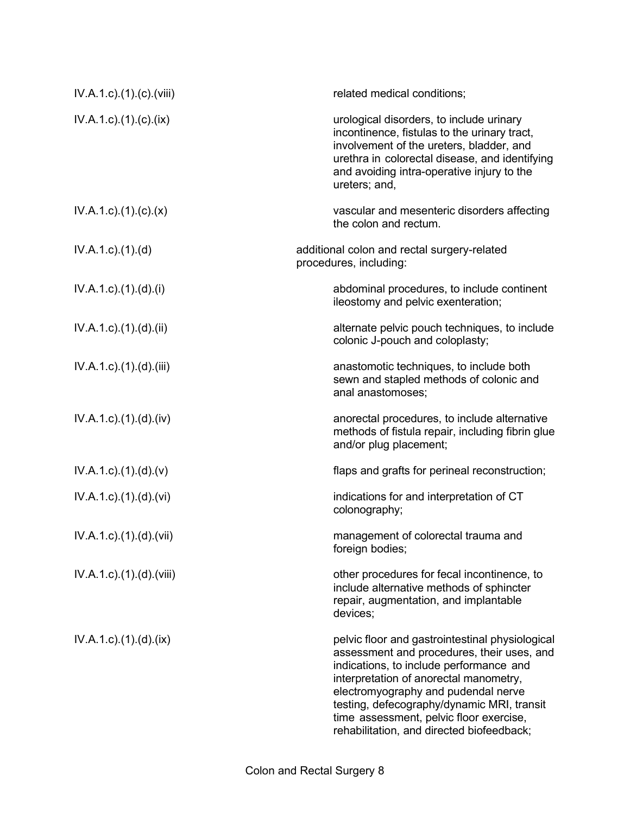| IV.A.1.c).(1).(c).(viii)             | related medical conditions;                                                                                                                                                                                                                                                                                                                                     |
|--------------------------------------|-----------------------------------------------------------------------------------------------------------------------------------------------------------------------------------------------------------------------------------------------------------------------------------------------------------------------------------------------------------------|
| $IV.A.1.c$ . $(1). (c). (ix)$        | urological disorders, to include urinary<br>incontinence, fistulas to the urinary tract,<br>involvement of the ureters, bladder, and<br>urethra in colorectal disease, and identifying<br>and avoiding intra-operative injury to the<br>ureters; and,                                                                                                           |
| $IV.A.1.c$ ). $(1). (c). (x)$        | vascular and mesenteric disorders affecting<br>the colon and rectum.                                                                                                                                                                                                                                                                                            |
| $IV.A.1.c$ ). $(1).$                 | additional colon and rectal surgery-related<br>procedures, including:                                                                                                                                                                                                                                                                                           |
| $IV.A.1.c$ . $(1).(d).(i)$           | abdominal procedures, to include continent<br>ileostomy and pelvic exenteration;                                                                                                                                                                                                                                                                                |
| $IV.A.1.c$ ). $(1).$ $(d)$ . $(ii)$  | alternate pelvic pouch techniques, to include<br>colonic J-pouch and coloplasty;                                                                                                                                                                                                                                                                                |
| $IV.A.1.c$ . $(1).$ $(d)$ . $(iii)$  | anastomotic techniques, to include both<br>sewn and stapled methods of colonic and<br>anal anastomoses;                                                                                                                                                                                                                                                         |
| IV.A.1.c).(1).(d).(iv)               | anorectal procedures, to include alternative<br>methods of fistula repair, including fibrin glue<br>and/or plug placement;                                                                                                                                                                                                                                      |
| $IV.A.1.c$ . $(1).(d).(v)$           | flaps and grafts for perineal reconstruction;                                                                                                                                                                                                                                                                                                                   |
| IV.A.1.c).(1).(d).(vi)               | indications for and interpretation of CT<br>colonography;                                                                                                                                                                                                                                                                                                       |
| IV.A.1.c).(1).(d).(vii)              | management of colorectal trauma and<br>foreign bodies;                                                                                                                                                                                                                                                                                                          |
| $IV.A.1.c$ . $(1).$ $(d)$ . $(viii)$ | other procedures for fecal incontinence, to<br>include alternative methods of sphincter<br>repair, augmentation, and implantable<br>devices:                                                                                                                                                                                                                    |
| $IV.A.1.c$ . $(1).$ $(d).$ $(ix)$    | pelvic floor and gastrointestinal physiological<br>assessment and procedures, their uses, and<br>indications, to include performance and<br>interpretation of anorectal manometry,<br>electromyography and pudendal nerve<br>testing, defecography/dynamic MRI, transit<br>time assessment, pelvic floor exercise,<br>rehabilitation, and directed biofeedback; |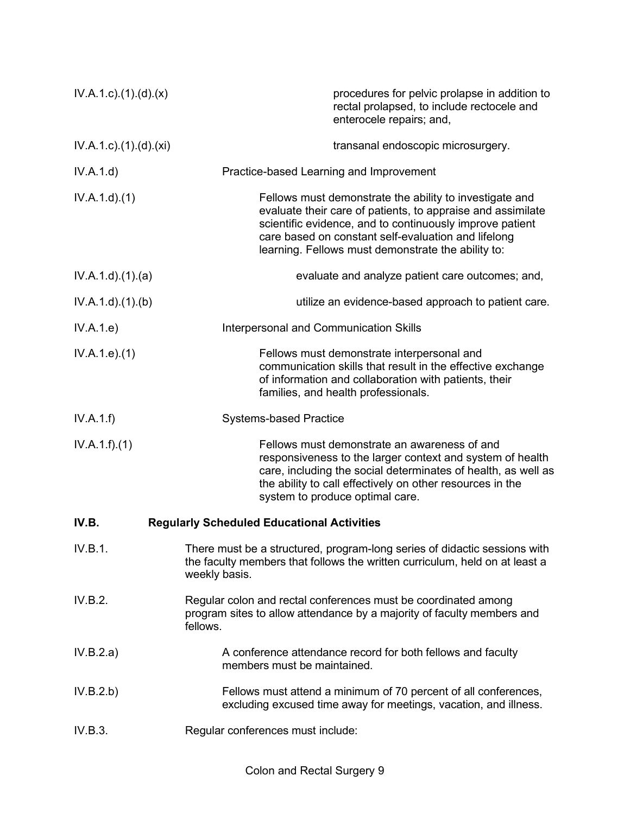| $IV.A.1.c$ . $(1).(d).(x)$         | procedures for pelvic prolapse in addition to<br>rectal prolapsed, to include rectocele and<br>enterocele repairs; and,                                                                                                                                                                         |
|------------------------------------|-------------------------------------------------------------------------------------------------------------------------------------------------------------------------------------------------------------------------------------------------------------------------------------------------|
| $IV.A.1.c$ . $(1).$ $(d)$ . $(xi)$ | transanal endoscopic microsurgery.                                                                                                                                                                                                                                                              |
| IV.A.1.d)                          | Practice-based Learning and Improvement                                                                                                                                                                                                                                                         |
| IV.A.1.d)(1)                       | Fellows must demonstrate the ability to investigate and<br>evaluate their care of patients, to appraise and assimilate<br>scientific evidence, and to continuously improve patient<br>care based on constant self-evaluation and lifelong<br>learning. Fellows must demonstrate the ability to: |
| IV.A.1.d.(1).(a)                   | evaluate and analyze patient care outcomes; and,                                                                                                                                                                                                                                                |
| IV.A.1.d.(1)(b)                    | utilize an evidence-based approach to patient care.                                                                                                                                                                                                                                             |
| IV.A.1.e)                          | Interpersonal and Communication Skills                                                                                                                                                                                                                                                          |
| IV.A.1.e. (1)                      | Fellows must demonstrate interpersonal and<br>communication skills that result in the effective exchange<br>of information and collaboration with patients, their<br>families, and health professionals.                                                                                        |
| IV.A.1.f)                          | <b>Systems-based Practice</b>                                                                                                                                                                                                                                                                   |
| IV.A.1.f)(1)                       | Fellows must demonstrate an awareness of and<br>responsiveness to the larger context and system of health<br>care, including the social determinates of health, as well as<br>the ability to call effectively on other resources in the<br>system to produce optimal care.                      |
| IV.B.                              | <b>Regularly Scheduled Educational Activities</b>                                                                                                                                                                                                                                               |
| IV.B.1.                            | There must be a structured, program-long series of didactic sessions with<br>the faculty members that follows the written curriculum, held on at least a<br>weekly basis.                                                                                                                       |
| IV.B.2.                            | Regular colon and rectal conferences must be coordinated among<br>program sites to allow attendance by a majority of faculty members and<br>fellows.                                                                                                                                            |
| IV.B.2.a)                          | A conference attendance record for both fellows and faculty<br>members must be maintained.                                                                                                                                                                                                      |
| IV.B.2.b)                          | Fellows must attend a minimum of 70 percent of all conferences,<br>excluding excused time away for meetings, vacation, and illness.                                                                                                                                                             |
| IV.B.3.                            | Regular conferences must include:                                                                                                                                                                                                                                                               |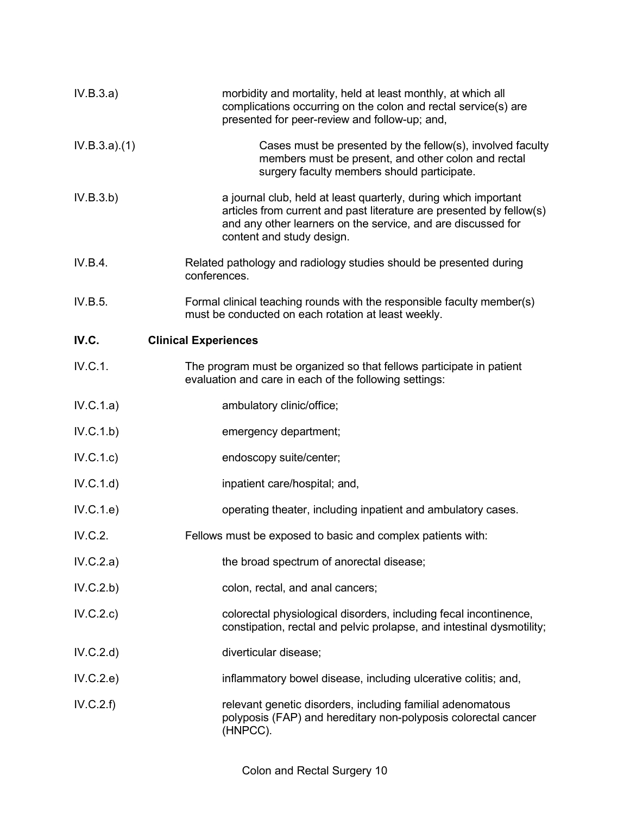| IV.B.3.a)    | morbidity and mortality, held at least monthly, at which all<br>complications occurring on the colon and rectal service(s) are<br>presented for peer-review and follow-up; and,                                                      |
|--------------|--------------------------------------------------------------------------------------------------------------------------------------------------------------------------------------------------------------------------------------|
| IV.B.3.a)(1) | Cases must be presented by the fellow(s), involved faculty<br>members must be present, and other colon and rectal<br>surgery faculty members should participate.                                                                     |
| IV.B.3.b)    | a journal club, held at least quarterly, during which important<br>articles from current and past literature are presented by fellow(s)<br>and any other learners on the service, and are discussed for<br>content and study design. |
| IV.B.4.      | Related pathology and radiology studies should be presented during<br>conferences.                                                                                                                                                   |
| IV.B.5.      | Formal clinical teaching rounds with the responsible faculty member(s)<br>must be conducted on each rotation at least weekly.                                                                                                        |
| IV.C.        | <b>Clinical Experiences</b>                                                                                                                                                                                                          |
| IV.C.1.      | The program must be organized so that fellows participate in patient<br>evaluation and care in each of the following settings:                                                                                                       |
| IV.C.1.a)    | ambulatory clinic/office;                                                                                                                                                                                                            |
| IV.C.1.b)    | emergency department;                                                                                                                                                                                                                |
| IV.C.1.c)    | endoscopy suite/center;                                                                                                                                                                                                              |
| IV.C.1.d)    | inpatient care/hospital; and,                                                                                                                                                                                                        |
| IV.C.1.e)    | operating theater, including inpatient and ambulatory cases.                                                                                                                                                                         |
| IV.C.2.      | Fellows must be exposed to basic and complex patients with:                                                                                                                                                                          |
| IV.C.2.a)    | the broad spectrum of anorectal disease;                                                                                                                                                                                             |
| IV.C.2.b)    | colon, rectal, and anal cancers;                                                                                                                                                                                                     |
| IV.C.2.c)    | colorectal physiological disorders, including fecal incontinence,<br>constipation, rectal and pelvic prolapse, and intestinal dysmotility;                                                                                           |
| IV.C.2.d)    | diverticular disease;                                                                                                                                                                                                                |
| IV.C.2.e)    | inflammatory bowel disease, including ulcerative colitis; and,                                                                                                                                                                       |
| IV.C.2.f)    | relevant genetic disorders, including familial adenomatous<br>polyposis (FAP) and hereditary non-polyposis colorectal cancer<br>(HNPCC).                                                                                             |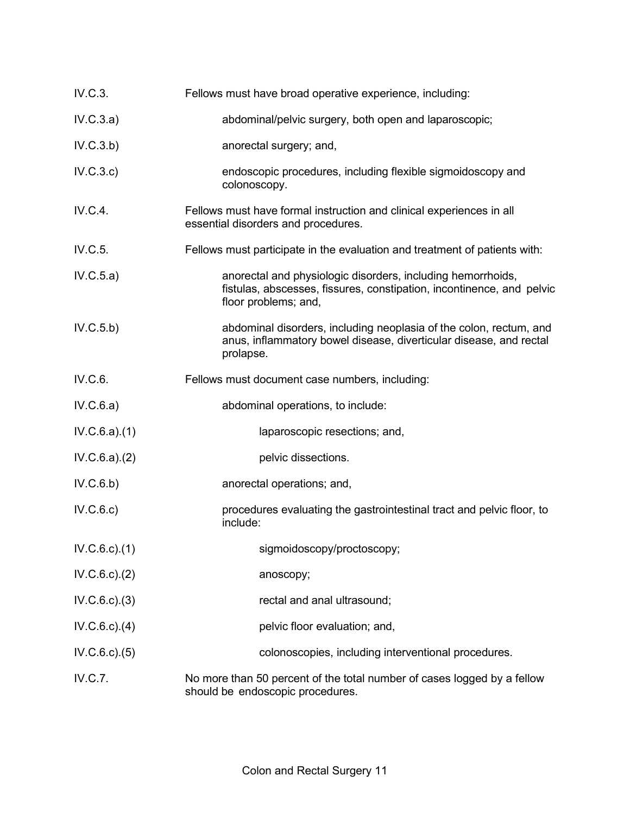| IV.C.3.            | Fellows must have broad operative experience, including:                                                                                                     |
|--------------------|--------------------------------------------------------------------------------------------------------------------------------------------------------------|
| IV.C.3.a)          | abdominal/pelvic surgery, both open and laparoscopic;                                                                                                        |
| IV.C.3.b)          | anorectal surgery; and,                                                                                                                                      |
| IV.C.3.c)          | endoscopic procedures, including flexible sigmoidoscopy and<br>colonoscopy.                                                                                  |
| IV.C.4.            | Fellows must have formal instruction and clinical experiences in all<br>essential disorders and procedures.                                                  |
| IV.C.5.            | Fellows must participate in the evaluation and treatment of patients with:                                                                                   |
| IV.C.5.a)          | anorectal and physiologic disorders, including hemorrhoids,<br>fistulas, abscesses, fissures, constipation, incontinence, and pelvic<br>floor problems; and, |
| IV.C.5.b)          | abdominal disorders, including neoplasia of the colon, rectum, and<br>anus, inflammatory bowel disease, diverticular disease, and rectal<br>prolapse.        |
| IV.C.6.            | Fellows must document case numbers, including:                                                                                                               |
| IV.C.6.a)          | abdominal operations, to include:                                                                                                                            |
| IV.C.6.a)(1)       | laparoscopic resections; and,                                                                                                                                |
| IV.C.6.a)(2)       | pelvic dissections.                                                                                                                                          |
| IV.C.6.b)          | anorectal operations; and,                                                                                                                                   |
| IV.C.6.c)          | procedures evaluating the gastrointestinal tract and pelvic floor, to<br>include:                                                                            |
| $IV.C.6.c$ . $(1)$ | sigmoidoscopy/proctoscopy;                                                                                                                                   |
| IV.C.6.c.2)        | anoscopy;                                                                                                                                                    |
| IV.C.6.c.3)        | rectal and anal ultrasound;                                                                                                                                  |
| $IV.C.6.c$ . $(4)$ | pelvic floor evaluation; and,                                                                                                                                |
| IV.C.6.c.3(5)      | colonoscopies, including interventional procedures.                                                                                                          |
| IV.C.7.            | No more than 50 percent of the total number of cases logged by a fellow<br>should be endoscopic procedures.                                                  |